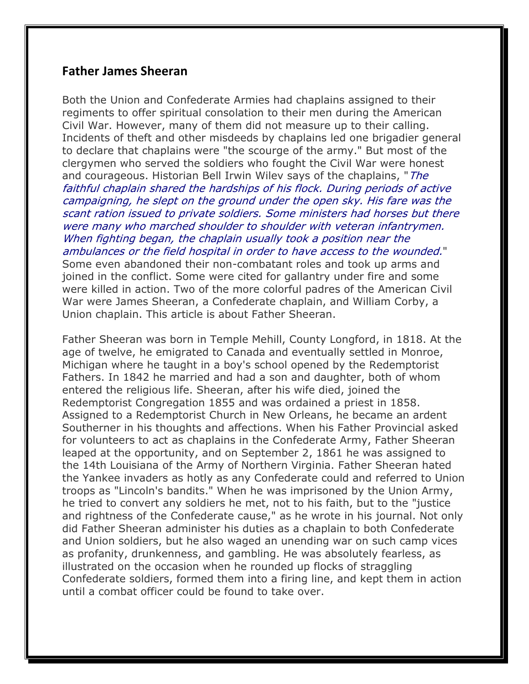## **Father James Sheeran**

Both the Union and Confederate Armies had chaplains assigned to their regiments to offer spiritual consolation to their men during the American Civil War. However, many of them did not measure up to their calling. Incidents of theft and other misdeeds by chaplains led one brigadier general to declare that chaplains were "the scourge of the army." But most of the clergymen who served the soldiers who fought the Civil War were honest and courageous. Historian Bell Irwin Wilev says of the chaplains, "The faithful chaplain shared the hardships of his flock. During periods of active campaigning, he slept on the ground under the open sky. His fare was the scant ration issued to private soldiers. Some ministers had horses but there were many who marched shoulder to shoulder with veteran infantrymen. When fighting began, the chaplain usually took a position near the ambulances or the field hospital in order to have access to the wounded." Some even abandoned their non-combatant roles and took up arms and joined in the conflict. Some were cited for gallantry under fire and some were killed in action. Two of the more colorful padres of the American Civil War were James Sheeran, a Confederate chaplain, and William Corby, a Union chaplain. This article is about Father Sheeran.

Father Sheeran was born in Temple Mehill, County Longford, in 1818. At the age of twelve, he emigrated to Canada and eventually settled in Monroe, Michigan where he taught in a boy's school opened by the Redemptorist Fathers. In 1842 he married and had a son and daughter, both of whom entered the religious life. Sheeran, after his wife died, joined the Redemptorist Congregation 1855 and was ordained a priest in 1858. Assigned to a Redemptorist Church in New Orleans, he became an ardent Southerner in his thoughts and affections. When his Father Provincial asked for volunteers to act as chaplains in the Confederate Army, Father Sheeran leaped at the opportunity, and on September 2, 1861 he was assigned to the 14th Louisiana of the Army of Northern Virginia. Father Sheeran hated the Yankee invaders as hotly as any Confederate could and referred to Union troops as "Lincoln's bandits." When he was imprisoned by the Union Army, he tried to convert any soldiers he met, not to his faith, but to the "justice and rightness of the Confederate cause," as he wrote in his journal. Not only did Father Sheeran administer his duties as a chaplain to both Confederate and Union soldiers, but he also waged an unending war on such camp vices as profanity, drunkenness, and gambling. He was absolutely fearless, as illustrated on the occasion when he rounded up flocks of straggling Confederate soldiers, formed them into a firing line, and kept them in action until a combat officer could be found to take over.